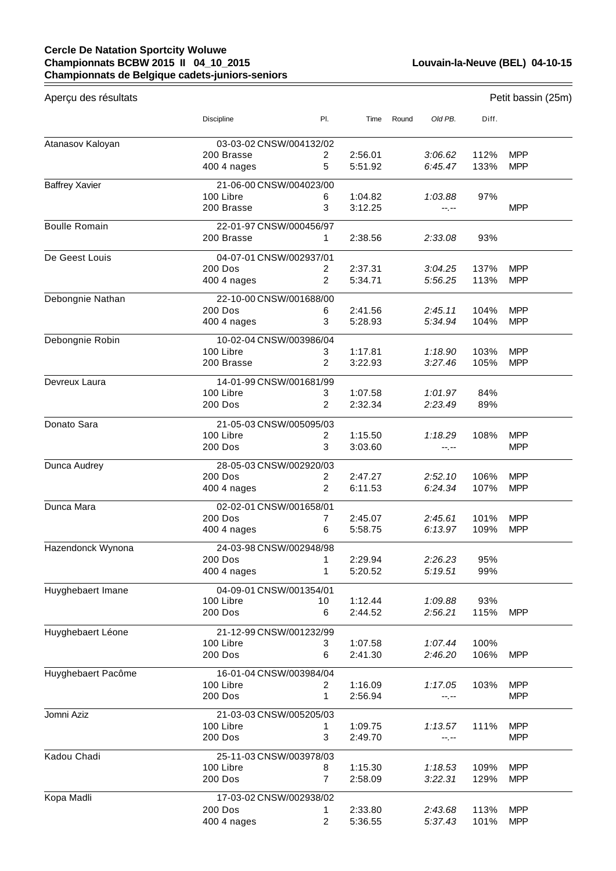## **Cercle De Natation Sportcity Woluwe Championnats BCBW 2015 II 04\_10\_2015 Championnats de Belgique cadets-juniors-seniors**

| Aperçu des résultats  |                                           |                |                    |       |         |       | Petit bassin (25m) |
|-----------------------|-------------------------------------------|----------------|--------------------|-------|---------|-------|--------------------|
|                       | Discipline                                | PI.            | Time               | Round | Old PB. | Diff. |                    |
| Atanasov Kaloyan      | 03-03-02 CNSW/004132/02                   |                |                    |       |         |       |                    |
|                       | 200 Brasse                                | 2              | 2:56.01            |       | 3:06.62 | 112%  | <b>MPP</b>         |
|                       | 400 4 nages                               | 5              | 5:51.92            |       | 6:45.47 | 133%  | <b>MPP</b>         |
|                       |                                           |                |                    |       |         |       |                    |
| <b>Baffrey Xavier</b> | 21-06-00 CNSW/004023/00<br>100 Libre      | 6              | 1:04.82            |       | 1:03.88 | 97%   |                    |
|                       | 200 Brasse                                | 3              | 3:12.25            |       | --.--   |       | <b>MPP</b>         |
| <b>Boulle Romain</b>  | 22-01-97 CNSW/000456/97                   |                |                    |       |         |       |                    |
|                       | 200 Brasse                                | 1.             | 2:38.56            |       | 2:33.08 | 93%   |                    |
| De Geest Louis        | 04-07-01 CNSW/002937/01                   |                |                    |       |         |       |                    |
|                       | 200 Dos                                   | 2              | 2:37.31            |       | 3:04.25 | 137%  | <b>MPP</b>         |
|                       | 400 4 nages                               | 2              | 5:34.71            |       | 5:56.25 | 113%  | <b>MPP</b>         |
| Debongnie Nathan      | 22-10-00 CNSW/001688/00                   |                |                    |       |         |       |                    |
|                       | <b>200 Dos</b>                            | 6              | 2:41.56            |       | 2:45.11 | 104%  | <b>MPP</b>         |
|                       | 400 4 nages                               | 3              | 5:28.93            |       | 5:34.94 | 104%  | <b>MPP</b>         |
| Debongnie Robin       | 10-02-04 CNSW/003986/04                   |                |                    |       |         |       |                    |
|                       | 100 Libre                                 | 3              | 1:17.81            |       | 1:18.90 | 103%  | <b>MPP</b>         |
|                       | 200 Brasse                                | 2              | 3:22.93            |       | 3:27.46 | 105%  | <b>MPP</b>         |
| Devreux Laura         | 14-01-99 CNSW/001681/99                   |                |                    |       |         |       |                    |
|                       | 100 Libre                                 | 3              | 1:07.58            |       | 1:01.97 | 84%   |                    |
|                       | 200 Dos                                   | $\overline{2}$ | 2:32.34            |       | 2:23.49 | 89%   |                    |
| Donato Sara           | 21-05-03 CNSW/005095/03                   |                |                    |       |         |       |                    |
|                       | 100 Libre                                 | $\overline{2}$ | 1:15.50            |       | 1:18.29 | 108%  | <b>MPP</b>         |
|                       | 200 Dos                                   | 3              | 3:03.60            |       | --.--   |       | <b>MPP</b>         |
|                       |                                           |                |                    |       |         |       |                    |
| Dunca Audrey          | 28-05-03 CNSW/002920/03<br><b>200 Dos</b> | 2              | 2:47.27            |       | 2:52.10 | 106%  | <b>MPP</b>         |
|                       | 400 4 nages                               | 2              | 6:11.53            |       | 6:24.34 | 107%  | <b>MPP</b>         |
| Dunca Mara            | 02-02-01 CNSW/001658/01                   |                |                    |       |         |       |                    |
|                       | 200 Dos                                   | 7              | 2:45.07            |       | 2:45.61 | 101%  | <b>MPP</b>         |
|                       | 400 4 nages                               | 6              | 5:58.75            |       | 6:13.97 | 109%  | <b>MPP</b>         |
| Hazendonck Wynona     | 24-03-98 CNSW/002948/98                   |                |                    |       |         |       |                    |
|                       | 200 Dos                                   | 1.             | 2:29.94            |       | 2:26.23 | 95%   |                    |
|                       | 400 4 nages                               | 1              | 5:20.52            |       | 5:19.51 | 99%   |                    |
| Huyghebaert Imane     | 04-09-01 CNSW/001354/01                   |                |                    |       |         |       |                    |
|                       | 100 Libre                                 | 10             | 1:12.44            |       | 1:09.88 | 93%   |                    |
|                       | 200 Dos                                   | 6              | 2:44.52            |       | 2:56.21 | 115%  | <b>MPP</b>         |
| Huyghebaert Léone     | 21-12-99 CNSW/001232/99                   |                |                    |       |         |       |                    |
|                       | 100 Libre                                 | 3              | 1:07.58            |       | 1:07.44 | 100%  |                    |
|                       | 200 Dos                                   | 6              | 2:41.30            |       | 2:46.20 | 106%  | <b>MPP</b>         |
|                       |                                           |                |                    |       |         |       |                    |
| Huyghebaert Pacôme    | 16-01-04 CNSW/003984/04<br>100 Libre      | 2              | 1:16.09            |       | 1:17.05 | 103%  | <b>MPP</b>         |
|                       | 200 Dos                                   | 1              | 2:56.94            |       | --.--   |       | <b>MPP</b>         |
|                       |                                           |                |                    |       |         |       |                    |
| Jomni Aziz            | 21-03-03 CNSW/005205/03                   |                |                    |       |         |       |                    |
|                       | 100 Libre<br>200 Dos                      | 1.<br>3        | 1:09.75<br>2:49.70 |       | 1:13.57 | 111%  | <b>MPP</b><br>MPP. |
|                       |                                           |                |                    |       | --.--   |       |                    |
| Kadou Chadi           | 25-11-03 CNSW/003978/03                   |                |                    |       |         |       |                    |
|                       | 100 Libre                                 | 8              | 1:15.30            |       | 1:18.53 | 109%  | <b>MPP</b>         |
|                       | 200 Dos                                   | $\overline{7}$ | 2:58.09            |       | 3:22.31 | 129%  | <b>MPP</b>         |
| Kopa Madli            | 17-03-02 CNSW/002938/02                   |                |                    |       |         |       |                    |
|                       | 200 Dos                                   | 1.             | 2:33.80            |       | 2:43.68 | 113%  | <b>MPP</b>         |
|                       | 400 4 nages                               | $\overline{c}$ | 5:36.55            |       | 5:37.43 | 101%  | <b>MPP</b>         |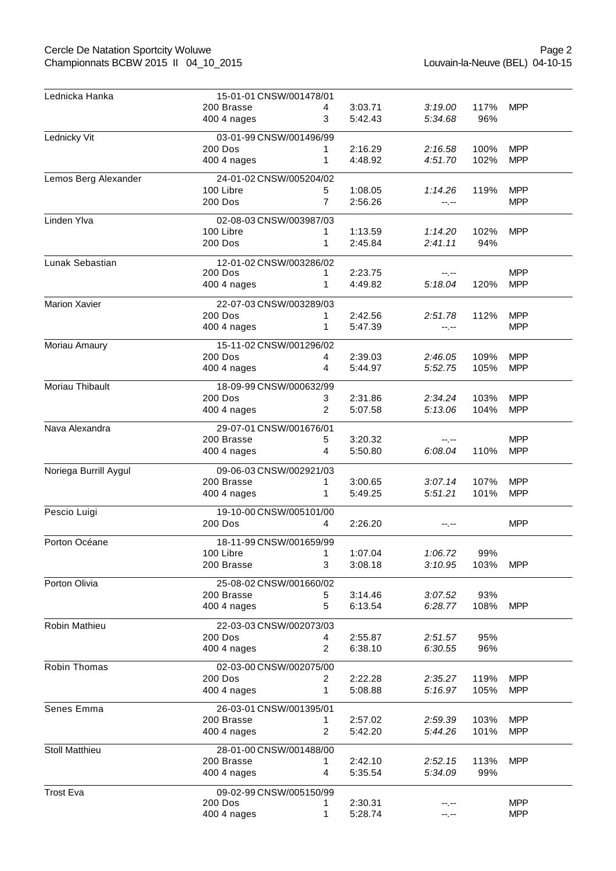## Cercle De Natation Sportcity Woluwe Championnats BCBW 2015 II 04\_10\_2015

| Lednicka Hanka        | 15-01-01 CNSW/001478/01 |                |         |         |      |            |  |  |
|-----------------------|-------------------------|----------------|---------|---------|------|------------|--|--|
|                       | 200 Brasse              | 4              | 3:03.71 | 3:19.00 | 117% | <b>MPP</b> |  |  |
|                       | 400 4 nages             | 3              | 5:42.43 | 5:34.68 | 96%  |            |  |  |
| Lednicky Vit          | 03-01-99 CNSW/001496/99 |                |         |         |      |            |  |  |
|                       | 200 Dos                 | 1              | 2:16.29 | 2:16.58 | 100% | <b>MPP</b> |  |  |
|                       | 400 4 nages             | 1              | 4:48.92 | 4:51.70 | 102% | <b>MPP</b> |  |  |
| Lemos Berg Alexander  | 24-01-02 CNSW/005204/02 |                |         |         |      |            |  |  |
|                       | 100 Libre               | 5              | 1:08.05 | 1:14.26 | 119% | <b>MPP</b> |  |  |
|                       | 200 Dos                 | $\overline{7}$ | 2:56.26 | --.--   |      | <b>MPP</b> |  |  |
| Linden Ylva           | 02-08-03 CNSW/003987/03 |                |         |         |      |            |  |  |
|                       | 100 Libre               |                | 1:13.59 | 1:14.20 | 102% | <b>MPP</b> |  |  |
|                       | 200 Dos                 | 1              | 2:45.84 | 2:41.11 | 94%  |            |  |  |
| Lunak Sebastian       | 12-01-02 CNSW/003286/02 |                |         |         |      |            |  |  |
|                       | 200 Dos                 | 1              | 2:23.75 | --.--   |      | <b>MPP</b> |  |  |
|                       | 400 4 nages             | 1              | 4:49.82 | 5:18.04 | 120% | <b>MPP</b> |  |  |
| <b>Marion Xavier</b>  | 22-07-03 CNSW/003289/03 |                |         |         |      |            |  |  |
|                       | 200 Dos                 | 1.             | 2:42.56 | 2:51.78 | 112% | <b>MPP</b> |  |  |
|                       | 400 4 nages             | 1              | 5:47.39 | --.--   |      | <b>MPP</b> |  |  |
| Moriau Amaury         | 15-11-02 CNSW/001296/02 |                |         |         |      |            |  |  |
|                       | 200 Dos                 | 4              | 2:39.03 | 2:46.05 | 109% | <b>MPP</b> |  |  |
|                       | 400 4 nages             | 4              | 5:44.97 | 5:52.75 | 105% | <b>MPP</b> |  |  |
| Moriau Thibault       | 18-09-99 CNSW/000632/99 |                |         |         |      |            |  |  |
|                       | 200 Dos                 | 3              | 2:31.86 | 2:34.24 | 103% | <b>MPP</b> |  |  |
|                       | 400 4 nages             | 2              | 5:07.58 | 5:13.06 | 104% | <b>MPP</b> |  |  |
| Nava Alexandra        | 29-07-01 CNSW/001676/01 |                |         |         |      |            |  |  |
|                       | 200 Brasse              | 5              | 3:20.32 |         |      | <b>MPP</b> |  |  |
|                       | 400 4 nages             | 4              | 5:50.80 | 6:08.04 | 110% | <b>MPP</b> |  |  |
| Noriega Burrill Aygul | 09-06-03 CNSW/002921/03 |                |         |         |      |            |  |  |
|                       | 200 Brasse              | 1              | 3:00.65 | 3:07.14 | 107% | <b>MPP</b> |  |  |
|                       | 400 4 nages             | 1              | 5:49.25 | 5:51.21 | 101% | <b>MPP</b> |  |  |
| Pescio Luigi          | 19-10-00 CNSW/005101/00 |                |         |         |      |            |  |  |
|                       | 200 Dos                 | 4              | 2:26.20 | --.--   |      | <b>MPP</b> |  |  |
| Porton Océane         | 18-11-99 CNSW/001659/99 |                |         |         |      |            |  |  |
|                       | 100 Libre               | 1              | 1:07.04 | 1:06.72 | 99%  |            |  |  |
|                       | 200 Brasse              | 3              | 3:08.18 | 3:10.95 | 103% | <b>MPP</b> |  |  |
| Porton Olivia         | 25-08-02 CNSW/001660/02 |                |         |         |      |            |  |  |
|                       | 200 Brasse              | 5              | 3:14.46 | 3:07.52 | 93%  |            |  |  |
|                       | 400 4 nages             | 5              | 6:13.54 | 6:28.77 | 108% | <b>MPP</b> |  |  |
| Robin Mathieu         | 22-03-03 CNSW/002073/03 |                |         |         |      |            |  |  |
|                       | 200 Dos                 | 4              | 2:55.87 | 2:51.57 | 95%  |            |  |  |
|                       | 400 4 nages             | 2              | 6:38.10 | 6:30.55 | 96%  |            |  |  |
| Robin Thomas          | 02-03-00 CNSW/002075/00 |                |         |         |      |            |  |  |
|                       | 200 Dos                 | 2              | 2:22.28 | 2:35.27 | 119% | <b>MPP</b> |  |  |
|                       | 400 4 nages             | 1              | 5:08.88 | 5:16.97 | 105% | <b>MPP</b> |  |  |
| Senes Emma            | 26-03-01 CNSW/001395/01 |                |         |         |      |            |  |  |
|                       | 200 Brasse              | 1              | 2:57.02 | 2:59.39 | 103% | <b>MPP</b> |  |  |
|                       | 400 4 nages             | 2              | 5:42.20 | 5:44.26 | 101% | <b>MPP</b> |  |  |
| Stoll Matthieu        | 28-01-00 CNSW/001488/00 |                |         |         |      |            |  |  |
|                       | 200 Brasse              | 1              | 2:42.10 | 2:52.15 | 113% | <b>MPP</b> |  |  |
|                       | 400 4 nages             | 4              | 5:35.54 | 5:34.09 | 99%  |            |  |  |
| <b>Trost Eva</b>      | 09-02-99 CNSW/005150/99 |                |         |         |      |            |  |  |
|                       | 200 Dos                 | 1              | 2:30.31 | --.--   |      | <b>MPP</b> |  |  |
|                       | 400 4 nages             | 1              | 5:28.74 | --.--   |      | <b>MPP</b> |  |  |